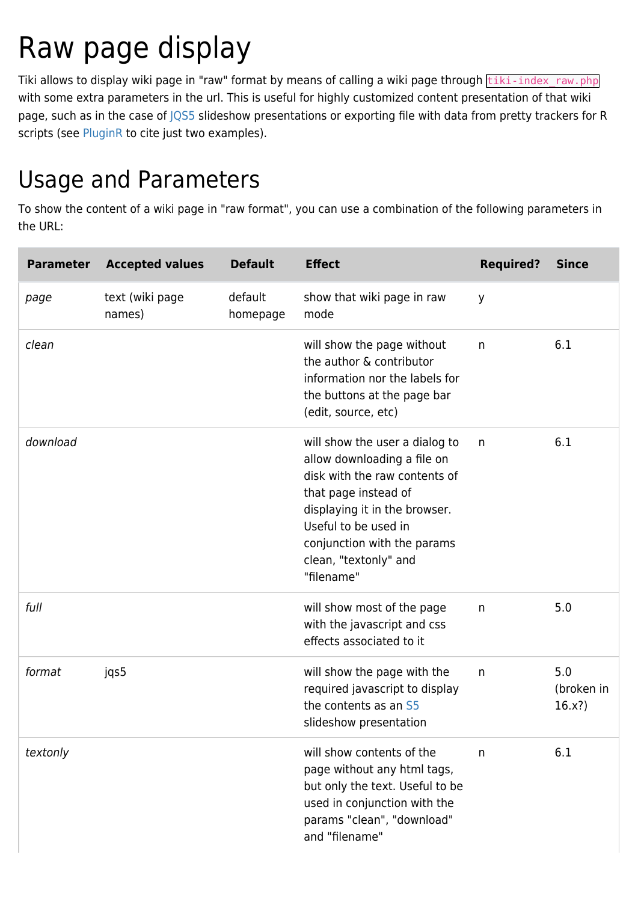## Raw page display

Tiki allows to display wiki page in "raw" format by means of calling a wiki page through tiki-index raw.php with some extra parameters in the url. This is useful for highly customized content presentation of that wiki page, such as in the case of  $|Q55$  slideshow presentations or exporting file with data from pretty trackers for R scripts (see [PluginR](https://doc.tiki.org/PluginR) to cite just two examples).

## Usage and Parameters

To show the content of a wiki page in "raw format", you can use a combination of the following parameters in the URL:

| <b>Parameter</b> | <b>Accepted values</b>    | <b>Default</b>      | <b>Effect</b>                                                                                                                                                                                                                                         | <b>Required?</b> | <b>Since</b>                |
|------------------|---------------------------|---------------------|-------------------------------------------------------------------------------------------------------------------------------------------------------------------------------------------------------------------------------------------------------|------------------|-----------------------------|
| page             | text (wiki page<br>names) | default<br>homepage | show that wiki page in raw<br>mode                                                                                                                                                                                                                    | y                |                             |
| clean            |                           |                     | will show the page without<br>the author & contributor<br>information nor the labels for<br>the buttons at the page bar<br>(edit, source, etc)                                                                                                        | $\mathsf{n}$     | 6.1                         |
| download         |                           |                     | will show the user a dialog to<br>allow downloading a file on<br>disk with the raw contents of<br>that page instead of<br>displaying it in the browser.<br>Useful to be used in<br>conjunction with the params<br>clean, "textonly" and<br>"filename" | n                | 6.1                         |
| full             |                           |                     | will show most of the page<br>with the javascript and css<br>effects associated to it                                                                                                                                                                 | n                | 5.0                         |
| format           | jqs5                      |                     | will show the page with the<br>required javascript to display<br>the contents as an S5<br>slideshow presentation                                                                                                                                      | n                | 5.0<br>(broken in<br>16.x?) |
| textonly         |                           |                     | will show contents of the<br>page without any html tags,<br>but only the text. Useful to be<br>used in conjunction with the<br>params "clean", "download"<br>and "filename"                                                                           | n                | 6.1                         |